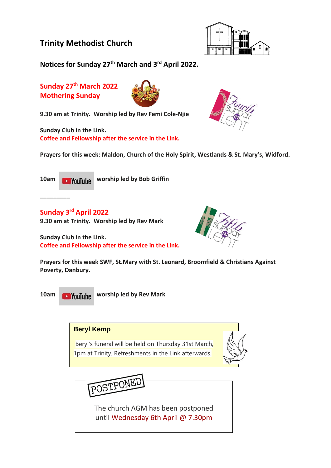

**Notices for Sunday 27th March and 3 rd April 2022.**

**Sunday 27th March 2022 Mothering Sunday**



**9.30 am at Trinity. Worship led by Rev Femi Cole-Njie**

**Sunday Club in the Link. Coffee and Fellowship after the service in the Link.**



**Prayers for this week: Maldon, Church of the Holy Spirit, Westlands & St. Mary's, Widford.**

**\_\_\_\_\_\_\_\_\_**

**10am Would by Bob Griffin** 

**Sunday 3 rd April 2022**

**9.30 am at Trinity. Worship led by Rev Mark**

**Sunday Club in the Link. Coffee and Fellowship after the service in the Link.**



**10am World Worship led by Rev Mark** 

#### **Beryl Kemp**

Beryl's funeral will be held on Thursday 31st March, 1pm at Trinity. Refreshments in the Link afterwards.





The church AGM has been postponed until Wednesday 6th April @ 7.30pm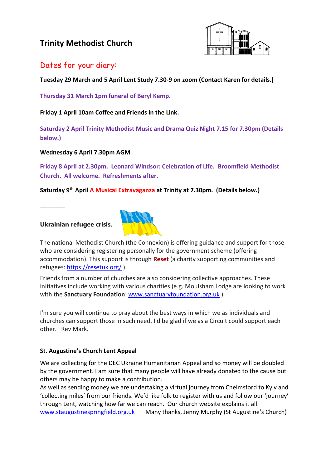

## Dates for your diary:

**Tuesday 29 March and 5 April Lent Study 7.30-9 on zoom (Contact Karen for details.)**

**Thursday 31 March 1pm funeral of Beryl Kemp.**

**Friday 1 April 10am Coffee and Friends in the Link.**

**Saturday 2 April Trinity Methodist Music and Drama Quiz Night 7.15 for 7.30pm (Details below.)**

**Wednesday 6 April 7.30pm AGM** 

**Friday 8 April at 2.30pm. Leonard Windsor: Celebration of Life. Broomfield Methodist Church. All welcome. Refreshments after.**

**Saturday 9th April A Musical Extravaganza at Trinity at 7.30pm. (Details below.)**

**Ukrainian refugee crisis.**

**\_\_\_\_\_\_\_**



The national Methodist Church (the Connexion) is offering guidance and support for those who are considering registering personally for the government scheme (offering accommodation). This support is through **Reset** (a charity supporting communities and refugees: <https://resetuk.org/> )

Friends from a number of churches are also considering collective approaches. These initiatives include working with various charities (e.g. Moulsham Lodge are looking to work with the **Sanctuary Foundation**: [www.sanctuaryfoundation.org.uk](http://www.sanctuaryfoundation.org.uk/) ).

I'm sure you will continue to pray about the best ways in which we as individuals and churches can support those in such need. I'd be glad if we as a Circuit could support each other. Rev Mark.

#### **St. Augustine's Church Lent Appeal**

We are collecting for the DEC Ukraine Humanitarian Appeal and so money will be doubled by the government. I am sure that many people will have already donated to the cause but others may be happy to make a contribution.

As well as sending money we are undertaking a virtual journey from Chelmsford to Kyiv and 'collecting miles' from our friends. We'd like folk to register with us and follow our 'journey' through Lent, watching how far we can reach. Our church website explains it all. [www.staugustinespringfield.org.uk](http://www.staugustinespringfield.org.uk/) Many thanks, Jenny Murphy (St Augustine's Church)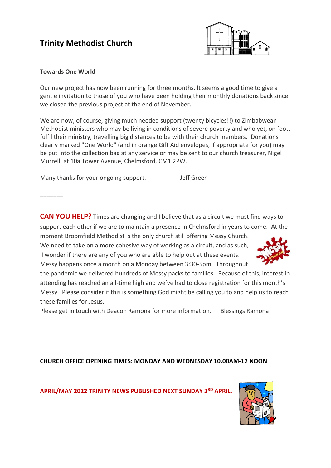

#### **Towards One World**

**\_\_\_\_\_\_\_**

 $\overline{\phantom{a}}$ 

Our new project has now been running for three months. It seems a good time to give a gentle invitation to those of you who have been holding their monthly donations back since we closed the previous project at the end of November.

We are now, of course, giving much needed support (twenty bicycles!!) to Zimbabwean Methodist ministers who may be living in conditions of severe poverty and who yet, on foot, fulfil their ministry, travelling big distances to be with their church members. Donations clearly marked "One World" (and in orange Gift Aid envelopes, if appropriate for you) may be put into the collection bag at any service or may be sent to our church treasurer, Nigel Murrell, at 10a Tower Avenue, Chelmsford, CM1 2PW.

Many thanks for your ongoing support. Jeff Green

**CAN YOU HELP?** Times are changing and I believe that as a circuit we must find ways to support each other if we are to maintain a presence in Chelmsford in years to come. At the moment Broomfield Methodist is the only church still offering Messy Church.

We need to take on a more cohesive way of working as a circuit, and as such, I wonder if there are any of you who are able to help out at these events. Messy happens once a month on a Monday between 3:30-5pm. Throughout



the pandemic we delivered hundreds of Messy packs to families. Because of this, interest in attending has reached an all-time high and we've had to close registration for this month's Messy. Please consider if this is something God might be calling you to and help us to reach these families for Jesus.

Please get in touch with Deacon Ramona for more information. Blessings Ramona

**CHURCH OFFICE OPENING TIMES: MONDAY AND WEDNESDAY 10.00AM-12 NOON**

**APRIL/MAY 2022 TRINITY NEWS PUBLISHED NEXT SUNDAY 3 RD APRIL.**

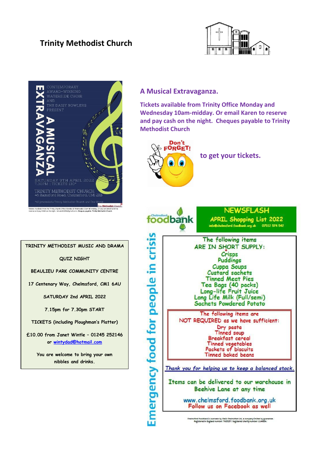



# **TRINITY METHODIST MUSIC AND DRAMA QUIZ NIGHT BEAULIEU PARK COMMUNITY CENTRE 17 Centenary Way, Chelmsford, CM1 6AU SATURDAY 2nd APRIL 2022 7.15pm for 7.30pm START TICKETS (including Ploughman's Platter) £10.00 from Janet Wintle – 01245 252146 or [wintydad@hotmail.com](mailto:wintydad@hotmail.com) You are welcome to bring your own nibbles and drinks.**

### **A Musical Extravaganza.**

**Tickets available from Trinity Office Monday and Wednesday 10am-midday. Or email Karen to reserve and pay cash on the night. Cheques payable to Trinity Methodist Church**



**to get your tickets.**



Cheimsford Foodbank is overseen by Oasis Cheimsford Ltd, a company limited by guarantee.<br>Registered in England number: 7685257. Registered charity number: 1144804.